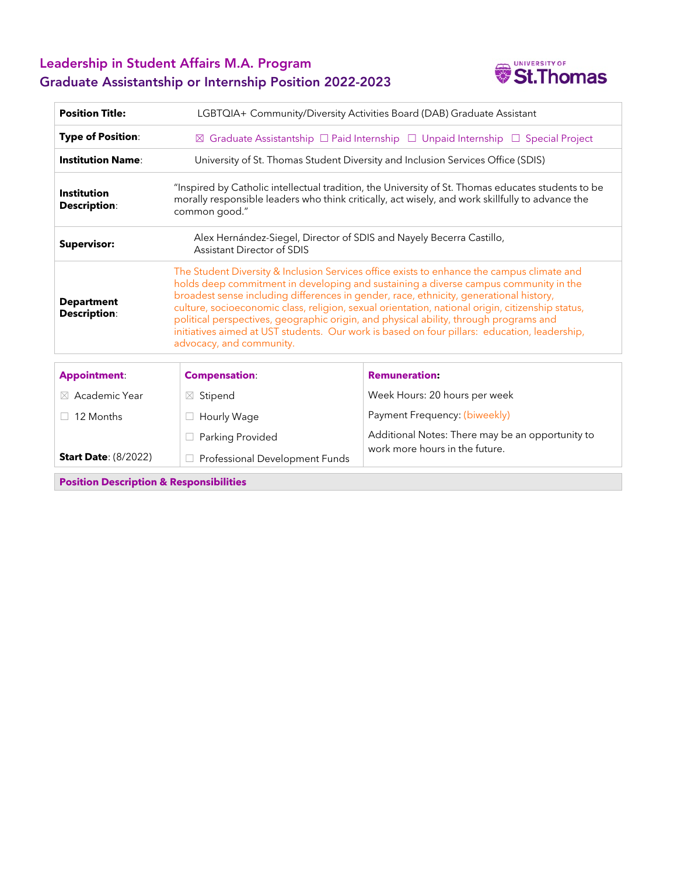# Leadership in Student Affairs M.A. Program Graduate Assistantship or Internship Position 2022-2023



| <b>Position Title:</b>                   | LGBTQIA+ Community/Diversity Activities Board (DAB) Graduate Assistant                                                                                                                                                                                                                                                                                                                                                                                                                                                                                                                                |                                                  |  |
|------------------------------------------|-------------------------------------------------------------------------------------------------------------------------------------------------------------------------------------------------------------------------------------------------------------------------------------------------------------------------------------------------------------------------------------------------------------------------------------------------------------------------------------------------------------------------------------------------------------------------------------------------------|--------------------------------------------------|--|
| <b>Type of Position:</b>                 | ⊠ Graduate Assistantship $\square$ Paid Internship $\square$ Unpaid Internship $\square$ Special Project                                                                                                                                                                                                                                                                                                                                                                                                                                                                                              |                                                  |  |
| <b>Institution Name:</b>                 | University of St. Thomas Student Diversity and Inclusion Services Office (SDIS)                                                                                                                                                                                                                                                                                                                                                                                                                                                                                                                       |                                                  |  |
| Institution<br><b>Description:</b>       | "Inspired by Catholic intellectual tradition, the University of St. Thomas educates students to be<br>morally responsible leaders who think critically, act wisely, and work skillfully to advance the<br>common good."                                                                                                                                                                                                                                                                                                                                                                               |                                                  |  |
| <b>Supervisor:</b>                       | Alex Hernández-Siegel, Director of SDIS and Nayely Becerra Castillo,<br><b>Assistant Director of SDIS</b>                                                                                                                                                                                                                                                                                                                                                                                                                                                                                             |                                                  |  |
| <b>Department</b><br><b>Description:</b> | The Student Diversity & Inclusion Services office exists to enhance the campus climate and<br>holds deep commitment in developing and sustaining a diverse campus community in the<br>broadest sense including differences in gender, race, ethnicity, generational history,<br>culture, socioeconomic class, religion, sexual orientation, national origin, citizenship status,<br>political perspectives, geographic origin, and physical ability, through programs and<br>initiatives aimed at UST students. Our work is based on four pillars: education, leadership,<br>advocacy, and community. |                                                  |  |
| <b>Appointment</b>                       | <b>Compensation:</b>                                                                                                                                                                                                                                                                                                                                                                                                                                                                                                                                                                                  | <b>Remuneration:</b>                             |  |
| Academic Year                            | $\boxtimes$ Stipend                                                                                                                                                                                                                                                                                                                                                                                                                                                                                                                                                                                   | Week Hours: 20 hours per week                    |  |
| 12 Months                                | $\Box$ Hourly Wage                                                                                                                                                                                                                                                                                                                                                                                                                                                                                                                                                                                    | Payment Frequency: (biweekly)                    |  |
|                                          | □ Parking Provided                                                                                                                                                                                                                                                                                                                                                                                                                                                                                                                                                                                    | Additional Notes: There may be an opportunity to |  |
| <b>Start Date: (8/2022)</b>              | Professional Development Funds                                                                                                                                                                                                                                                                                                                                                                                                                                                                                                                                                                        | work more hours in the future.                   |  |
|                                          |                                                                                                                                                                                                                                                                                                                                                                                                                                                                                                                                                                                                       |                                                  |  |

) **Position Description & Responsibilities**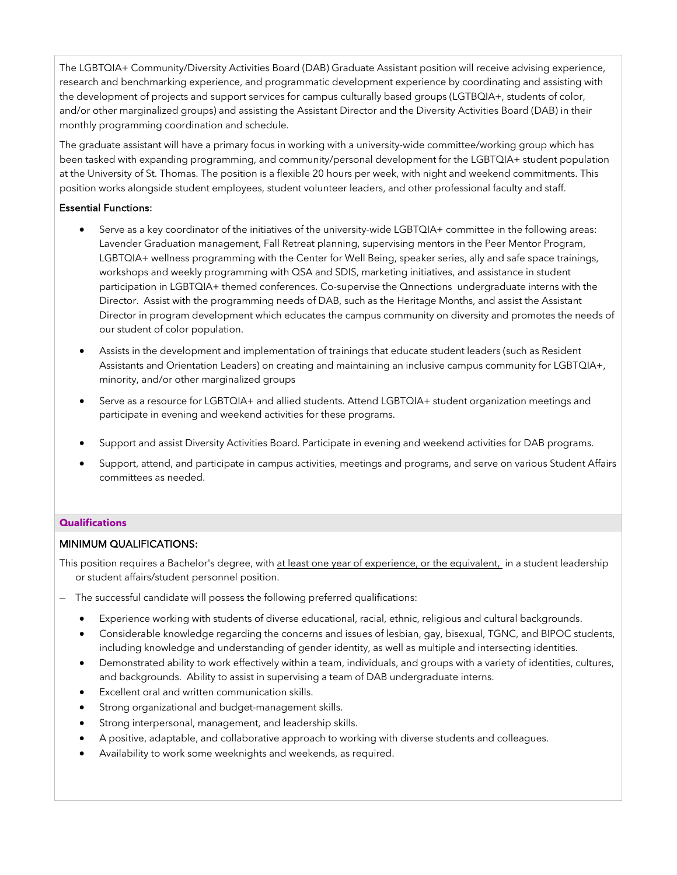The LGBTQIA+ Community/Diversity Activities Board (DAB) Graduate Assistant position will receive advising experience, research and benchmarking experience, and programmatic development experience by coordinating and assisting with the development of projects and support services for campus culturally based groups (LGTBQIA+, students of color, and/or other marginalized groups) and assisting the Assistant Director and the Diversity Activities Board (DAB) in their monthly programming coordination and schedule.

The graduate assistant will have a primary focus in working with a university-wide committee/working group which has been tasked with expanding programming, and community/personal development for the LGBTQIA+ student population at the University of St. Thomas. The position is a flexible 20 hours per week, with night and weekend commitments. This position works alongside student employees, student volunteer leaders, and other professional faculty and staff.

### Essential Functions:

- Serve as a key coordinator of the initiatives of the university-wide LGBTQIA+ committee in the following areas: Lavender Graduation management, Fall Retreat planning, supervising mentors in the Peer Mentor Program, LGBTQIA+ wellness programming with the Center for Well Being, speaker series, ally and safe space trainings, workshops and weekly programming with QSA and SDIS, marketing initiatives, and assistance in student participation in LGBTQIA+ themed conferences. Co-supervise the Qnnections undergraduate interns with the Director. Assist with the programming needs of DAB, such as the Heritage Months, and assist the Assistant Director in program development which educates the campus community on diversity and promotes the needs of our student of color population.
- Assists in the development and implementation of trainings that educate student leaders (such as Resident Assistants and Orientation Leaders) on creating and maintaining an inclusive campus community for LGBTQIA+, minority, and/or other marginalized groups
- Serve as a resource for LGBTQIA+ and allied students. Attend LGBTQIA+ student organization meetings and participate in evening and weekend activities for these programs.
- Support and assist Diversity Activities Board. Participate in evening and weekend activities for DAB programs.
- Support, attend, and participate in campus activities, meetings and programs, and serve on various Student Affairs committees as needed.

## **Qualifications**

#### MINIMUM QUALIFICATIONS:

- This position requires a Bachelor's degree, with at least one year of experience, or the equivalent, in a student leadership or student affairs/student personnel position.
- The successful candidate will possess the following preferred qualifications:
	- Experience working with students of diverse educational, racial, ethnic, religious and cultural backgrounds.
	- Considerable knowledge regarding the concerns and issues of lesbian, gay, bisexual, TGNC, and BIPOC students, including knowledge and understanding of gender identity, as well as multiple and intersecting identities.
	- Demonstrated ability to work effectively within a team, individuals, and groups with a variety of identities, cultures, and backgrounds. Ability to assist in supervising a team of DAB undergraduate interns.
	- Excellent oral and written communication skills.
	- Strong organizational and budget-management skills.
	- Strong interpersonal, management, and leadership skills.
	- A positive, adaptable, and collaborative approach to working with diverse students and colleagues.
	- Availability to work some weeknights and weekends, as required.